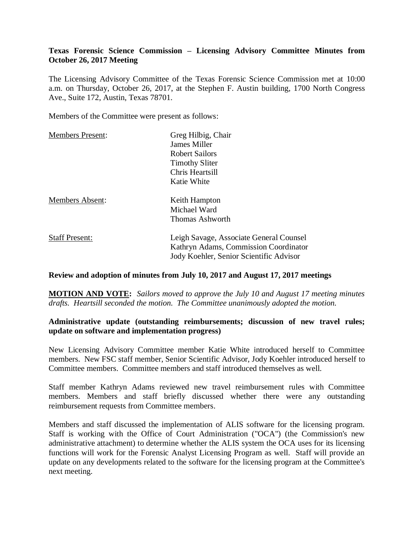# **Texas Forensic Science Commission – Licensing Advisory Committee Minutes from October 26, 2017 Meeting**

The Licensing Advisory Committee of the Texas Forensic Science Commission met at 10:00 a.m. on Thursday, October 26, 2017, at the Stephen F. Austin building, 1700 North Congress Ave., Suite 172, Austin, Texas 78701.

Members of the Committee were present as follows:

| <b>Members Present:</b> | Greg Hilbig, Chair                                                                                                          |
|-------------------------|-----------------------------------------------------------------------------------------------------------------------------|
|                         | James Miller                                                                                                                |
|                         | <b>Robert Sailors</b>                                                                                                       |
|                         | <b>Timothy Sliter</b>                                                                                                       |
|                         | Chris Heartsill                                                                                                             |
|                         | Katie White                                                                                                                 |
| <b>Members Absent:</b>  | Keith Hampton                                                                                                               |
|                         | Michael Ward                                                                                                                |
|                         | Thomas Ashworth                                                                                                             |
| <b>Staff Present:</b>   | Leigh Savage, Associate General Counsel<br>Kathryn Adams, Commission Coordinator<br>Jody Koehler, Senior Scientific Advisor |
|                         |                                                                                                                             |

#### **Review and adoption of minutes from July 10, 2017 and August 17, 2017 meetings**

**MOTION AND VOTE:** *Sailors moved to approve the July 10 and August 17 meeting minutes drafts. Heartsill seconded the motion. The Committee unanimously adopted the motion.*

# **Administrative update (outstanding reimbursements; discussion of new travel rules; update on software and implementation progress)**

New Licensing Advisory Committee member Katie White introduced herself to Committee members. New FSC staff member, Senior Scientific Advisor, Jody Koehler introduced herself to Committee members. Committee members and staff introduced themselves as well.

Staff member Kathryn Adams reviewed new travel reimbursement rules with Committee members. Members and staff briefly discussed whether there were any outstanding reimbursement requests from Committee members.

Members and staff discussed the implementation of ALIS software for the licensing program. Staff is working with the Office of Court Administration ("OCA") (the Commission's new administrative attachment) to determine whether the ALIS system the OCA uses for its licensing functions will work for the Forensic Analyst Licensing Program as well. Staff will provide an update on any developments related to the software for the licensing program at the Committee's next meeting.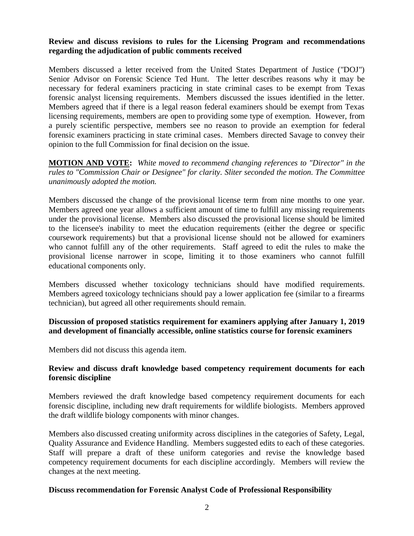# **Review and discuss revisions to rules for the Licensing Program and recommendations regarding the adjudication of public comments received**

Members discussed a letter received from the United States Department of Justice ("DOJ") Senior Advisor on Forensic Science Ted Hunt. The letter describes reasons why it may be necessary for federal examiners practicing in state criminal cases to be exempt from Texas forensic analyst licensing requirements. Members discussed the issues identified in the letter. Members agreed that if there is a legal reason federal examiners should be exempt from Texas licensing requirements, members are open to providing some type of exemption. However, from a purely scientific perspective, members see no reason to provide an exemption for federal forensic examiners practicing in state criminal cases. Members directed Savage to convey their opinion to the full Commission for final decision on the issue.

**MOTION AND VOTE:** *White moved to recommend changing references to "Director" in the rules to "Commission Chair or Designee" for clarity. Sliter seconded the motion. The Committee unanimously adopted the motion.*

Members discussed the change of the provisional license term from nine months to one year. Members agreed one year allows a sufficient amount of time to fulfill any missing requirements under the provisional license. Members also discussed the provisional license should be limited to the licensee's inability to meet the education requirements (either the degree or specific coursework requirements) but that a provisional license should not be allowed for examiners who cannot fulfill any of the other requirements. Staff agreed to edit the rules to make the provisional license narrower in scope, limiting it to those examiners who cannot fulfill educational components only.

Members discussed whether toxicology technicians should have modified requirements. Members agreed toxicology technicians should pay a lower application fee (similar to a firearms technician), but agreed all other requirements should remain.

# **Discussion of proposed statistics requirement for examiners applying after January 1, 2019 and development of financially accessible, online statistics course for forensic examiners**

Members did not discuss this agenda item.

# **Review and discuss draft knowledge based competency requirement documents for each forensic discipline**

Members reviewed the draft knowledge based competency requirement documents for each forensic discipline, including new draft requirements for wildlife biologists. Members approved the draft wildlife biology components with minor changes.

Members also discussed creating uniformity across disciplines in the categories of Safety, Legal, Quality Assurance and Evidence Handling. Members suggested edits to each of these categories. Staff will prepare a draft of these uniform categories and revise the knowledge based competency requirement documents for each discipline accordingly. Members will review the changes at the next meeting.

#### **Discuss recommendation for Forensic Analyst Code of Professional Responsibility**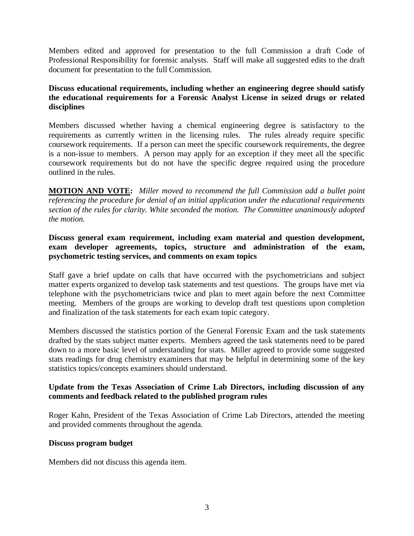Members edited and approved for presentation to the full Commission a draft Code of Professional Responsibility for forensic analysts. Staff will make all suggested edits to the draft document for presentation to the full Commission.

# **Discuss educational requirements, including whether an engineering degree should satisfy the educational requirements for a Forensic Analyst License in seized drugs or related disciplines**

Members discussed whether having a chemical engineering degree is satisfactory to the requirements as currently written in the licensing rules. The rules already require specific coursework requirements. If a person can meet the specific coursework requirements, the degree is a non-issue to members. A person may apply for an exception if they meet all the specific coursework requirements but do not have the specific degree required using the procedure outlined in the rules.

**MOTION AND VOTE:** *Miller moved to recommend the full Commission add a bullet point referencing the procedure for denial of an initial application under the educational requirements section of the rules for clarity. White seconded the motion. The Committee unanimously adopted the motion.*

# **Discuss general exam requirement, including exam material and question development, exam developer agreements, topics, structure and administration of the exam, psychometric testing services, and comments on exam topics**

Staff gave a brief update on calls that have occurred with the psychometricians and subject matter experts organized to develop task statements and test questions. The groups have met via telephone with the psychometricians twice and plan to meet again before the next Committee meeting. Members of the groups are working to develop draft test questions upon completion and finalization of the task statements for each exam topic category.

Members discussed the statistics portion of the General Forensic Exam and the task statements drafted by the stats subject matter experts. Members agreed the task statements need to be pared down to a more basic level of understanding for stats. Miller agreed to provide some suggested stats readings for drug chemistry examiners that may be helpful in determining some of the key statistics topics/concepts examiners should understand.

# **Update from the Texas Association of Crime Lab Directors, including discussion of any comments and feedback related to the published program rules**

Roger Kahn, President of the Texas Association of Crime Lab Directors, attended the meeting and provided comments throughout the agenda.

#### **Discuss program budget**

Members did not discuss this agenda item.